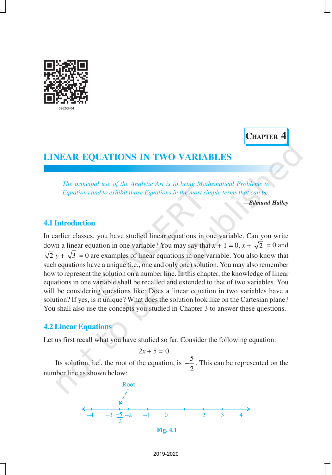

**CHAPTER 4**

# **LINEAR EQUATIONS IN TWO VARIABLES**

*The principal use of the Analytic Art is to bring Mathematical Problems to Equations and to exhibit those Equations in the most simple terms that can be.*

—*Edmund Halley*

# **4.1 Introduction**

In earlier classes, you have studied linear equations in one variable. Can you write down a linear equation in one variable? You may say that  $x + 1 = 0$ ,  $x + \sqrt{2} = 0$  and  $\sqrt{2}$  *y* +  $\sqrt{3}$  = 0 are examples of linear equations in one variable. You also know that such equations have a unique (i.e., one and only one) solution. You may also remember how to represent the solution on a number line. In this chapter, the knowledge of linear equations in one variable shall be recalled and extended to that of two variables. You will be considering questions like: Does a linear equation in two variables have a solution? If yes, is it unique? What does the solution look like on the Cartesian plane? You shall also use the concepts you studied in Chapter 3 to answer these questions.

## **4.2 Linear Equations**

Let us first recall what you have studied so far. Consider the following equation:

 $2x + 5 = 0$ 

Its solution, i.e., the root of the equation, is  $-\frac{5}{5}$ 2  $-\frac{3}{2}$ . This can be represented on the number line as shown below:



**Fig. 4.1**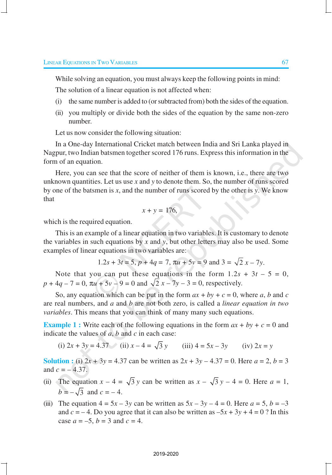While solving an equation, you must always keep the following points in mind:

The solution of a linear equation is not affected when:

- (i) the same number is added to (or subtracted from) both the sides of the equation.
- (ii) you multiply or divide both the sides of the equation by the same non-zero number.

Let us now consider the following situation:

In a One-day International Cricket match between India and Sri Lanka played in Nagpur, two Indian batsmen together scored 176 runs. Express this information in the form of an equation.

Here, you can see that the score of neither of them is known, i.e., there are two unknown quantities. Let us use *x* and *y* to denote them. So, the number of runs scored by one of the batsmen is *x*, and the number of runs scored by the other is *y*. We know that

$$
x + y = 176,
$$

which is the required equation.

This is an example of a linear equation in two variables. It is customary to denote the variables in such equations by *x* and *y*, but other letters may also be used. Some examples of linear equations in two variables are:

$$
1.2s + 3t = 5
$$
,  $p + 4q = 7$ ,  $\pi u + 5v = 9$  and  $3 = \sqrt{2}x - 7y$ .

Note that you can put these equations in the form  $1.2s + 3t - 5 = 0$ ,  $p + 4q - 7 = 0$ ,  $\pi u + 5v - 9 = 0$  and  $\sqrt{2} x - 7y - 3 = 0$ , respectively.

So, any equation which can be put in the form  $ax + by + c = 0$ , where *a*, *b* and *c* are real numbers, and *a* and *b* are not both zero, is called a *linear equation in two variables*. This means that you can think of many many such equations.

**Example 1 :** Write each of the following equations in the form  $ax + by + c = 0$  and indicate the values of *a*, *b* and *c* in each case:

(i) 
$$
2x + 3y = 4.37
$$
 (ii)  $x - 4 = \sqrt{3}y$  (iii)  $4 = 5x - 3y$  (iv)  $2x = y$ 

**Solution :** (i)  $2x + 3y = 4.37$  can be written as  $2x + 3y - 4.37 = 0$ . Here  $a = 2, b = 3$ and  $c = -4.37$ .

- (ii) The equation  $x 4 = \sqrt{3} y$  can be written as  $x \sqrt{3} y 4 = 0$ . Here  $a = 1$ ,  $b = -\sqrt{3}$  and  $c = -4$ .
- (iii) The equation  $4 = 5x 3y$  can be written as  $5x 3y 4 = 0$ . Here  $a = 5$ ,  $b = -3$ and  $c = -4$ . Do you agree that it can also be written as  $-5x + 3y + 4 = 0$ ? In this case  $a = -5$ ,  $b = 3$  and  $c = 4$ .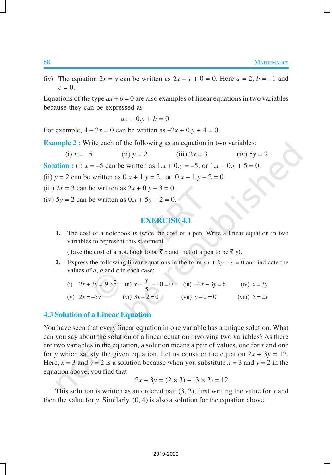(iv) The equation  $2x = y$  can be written as  $2x - y + 0 = 0$ . Here  $a = 2$ ,  $b = -1$  and  $c = 0$ .

Equations of the type  $ax + b = 0$  are also examples of linear equations in two variables because they can be expressed as

$$
ax + 0.y + b = 0
$$

For example,  $4 - 3x = 0$  can be written as  $-3x + 0. y + 4 = 0$ .

**Example 2 :** Write each of the following as an equation in two variables:

(i) 
$$
x = -5
$$
 (ii)  $y = 2$  (iii)  $2x = 3$  (iv)  $5y = 2$ 

**Solution :** (i)  $x = -5$  can be written as  $1 \cdot x + 0 \cdot y = -5$ , or  $1 \cdot x + 0 \cdot y + 5 = 0$ .

(ii)  $y = 2$  can be written as  $0 \cdot x + 1 \cdot y = 2$ , or  $0 \cdot x + 1 \cdot y - 2 = 0$ .

(iii)  $2x = 3$  can be written as  $2x + 0. y - 3 = 0$ .

(iv)  $5y = 2$  can be written as  $0.x + 5y - 2 = 0$ .

# **EXERCISE 4.1**

**1.** The cost of a notebook is twice the cost of a pen. Write a linear equation in two variables to represent this statement.

(Take the cost of a notebook to be  $\bar{x}$  *x* and that of a pen to be  $\bar{x}$  *y*).

- **2.** Express the following linear equations in the form  $ax + by + c = 0$  and indicate the values of *a*, *b* and *c* in each case:
	- (i)  $2x + 3y = 9.35$  (ii)  $x \frac{y}{5}$  $\frac{y}{5}$  – 10 = 0 (iii) –2*x* + 3*y* = 6 (iv) *x* = 3*y* (v)  $2x = -5y$  (vi)  $3x + 2 = 0$  (vii)  $y - 2 = 0$  (viii)  $5 = 2x$

# **4.3 Solution of a Linear Equation**

You have seen that every linear equation in one variable has a unique solution. What can you say about the solution of a linear equation involving two variables? As there are two variables in the equation, a solution means a pair of values, one for *x* and one for *y* which satisfy the given equation. Let us consider the equation  $2x + 3y = 12$ . Here,  $x = 3$  and  $y = 2$  is a solution because when you substitute  $x = 3$  and  $y = 2$  in the equation above, you find that

$$
2x + 3y = (2 \times 3) + (3 \times 2) = 12
$$

This solution is written as an ordered pair (3, 2), first writing the value for *x* and then the value for *y*. Similarly, (0, 4) is also a solution for the equation above.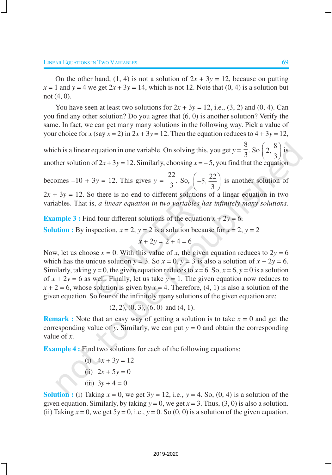On the other hand,  $(1, 4)$  is not a solution of  $2x + 3y = 12$ , because on putting  $x = 1$  and  $y = 4$  we get  $2x + 3y = 14$ , which is not 12. Note that  $(0, 4)$  is a solution but not (4, 0).

You have seen at least two solutions for  $2x + 3y = 12$ , i.e.,  $(3, 2)$  and  $(0, 4)$ . Can you find any other solution? Do you agree that (6, 0) is another solution? Verify the same. In fact, we can get many many solutions in the following way. Pick a value of your choice for  $x$  (say  $x = 2$ ) in  $2x + 3y = 12$ . Then the equation reduces to  $4 + 3y = 12$ ,

which is a linear equation in one variable. On solving this, you get *y* = 8  $\frac{8}{3}$ . So  $\left(2, \frac{8}{3}\right)$  $\left(2,\frac{8}{3}\right)$  is another solution of  $2x + 3y = 12$ . Similarly, choosing  $x = -5$ , you find that the equation

becomes  $-10 + 3y = 12$ . This gives  $y =$ 22  $\frac{22}{3}$ . So,  $\left(-5, \frac{22}{3}\right)$  $\left(-5, \frac{22}{3}\right)$  is another solution of  $2x + 3y = 12$ . So there is no end to different solutions of a linear equation in two variables. That is, *a linear equation in two variables has infinitely many solutions.*

**Example 3 :** Find four different solutions of the equation  $x + 2y = 6$ . **Solution :** By inspection,  $x = 2$ ,  $y = 2$  is a solution because for  $x = 2$ ,  $y = 2$ 

$$
x + 2y = 2 + 4 = 6
$$

Now, let us choose  $x = 0$ . With this value of *x*, the given equation reduces to  $2y = 6$ which has the unique solution  $y = 3$ . So  $x = 0$ ,  $y = 3$  is also a solution of  $x + 2y = 6$ . Similarly, taking  $y = 0$ , the given equation reduces to  $x = 6$ . So,  $x = 6$ ,  $y = 0$  is a solution of  $x + 2y = 6$  as well. Finally, let us take  $y = 1$ . The given equation now reduces to  $x + 2 = 6$ , whose solution is given by  $x = 4$ . Therefore, (4, 1) is also a solution of the given equation. So four of the infinitely many solutions of the given equation are:

$$
(2, 2), (0, 3), (6, 0)
$$
 and  $(4, 1)$ .

**Remark :** Note that an easy way of getting a solution is to take  $x = 0$  and get the corresponding value of *y*. Similarly, we can put  $y = 0$  and obtain the corresponding value of *x*.

**Example 4 :** Find two solutions for each of the following equations:

(i) 
$$
4x + 3y = 12
$$
  
\n(ii)  $2x + 5y = 0$   
\n(iii)  $3y + 4 = 0$ 

**Solution :** (i) Taking  $x = 0$ , we get  $3y = 12$ , i.e.,  $y = 4$ . So,  $(0, 4)$  is a solution of the given equation. Similarly, by taking  $y = 0$ , we get  $x = 3$ . Thus,  $(3, 0)$  is also a solution. (ii) Taking  $x = 0$ , we get  $5y = 0$ , i.e.,  $y = 0$ . So  $(0, 0)$  is a solution of the given equation.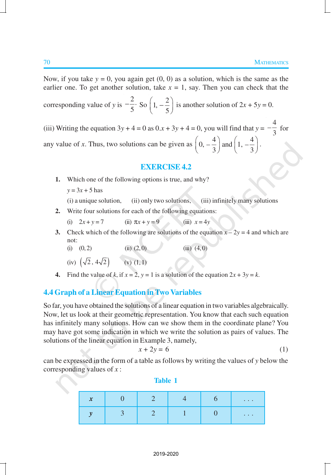Now, if you take  $y = 0$ , you again get  $(0, 0)$  as a solution, which is the same as the earlier one. To get another solution, take  $x = 1$ , say. Then you can check that the corresponding value of *y* is 2 .  $-\frac{2}{5}$  So  $\left(1, -\frac{2}{5}\right)$  $\left(1, -\frac{2}{5}\right)$ is another solution of  $2x + 5y = 0$ . (iii) Writing the equation  $3y + 4 = 0$  as  $0 \cdot x + 3y + 4 = 0$ , you will find that  $y =$  $-\frac{4}{3}$  $\frac{1}{3}$  for any value of *x*. Thus, two solutions can be given as  $\left(0, -\frac{4}{3}\right)$  and  $\left(1, -\frac{4}{3}\right)$  $\left(0, -\frac{4}{3}\right)$  and  $\left(1, -\frac{4}{3}\right)$ .

#### **EXERCISE 4.2**

- **1.** Which one of the following options is true, and why?
	- $y = 3x + 5$  has

(i) a unique solution, (ii) only two solutions, (iii) infinitely many solutions

- **2.** Write four solutions for each of the following equations:
	- (i)  $2x + y = 7$  (ii)  $\pi x + y = 9$  (iii)  $x = 4y$
- **3.** Check which of the following are solutions of the equation  $x 2y = 4$  and which are not:
	- (i)  $(0, 2)$  (ii)  $(2, 0)$  (iii)  $(4, 0)$

(iv) 
$$
(\sqrt{2}, 4\sqrt{2})
$$
 (v) (1, 1)

**4.** Find the value of *k*, if  $x = 2$ ,  $y = 1$  is a solution of the equation  $2x + 3y = k$ .

#### **4.4 Graph of a Linear Equation in Two Variables**

So far, you have obtained the solutions of a linear equation in two variables algebraically. Now, let us look at their geometric representation. You know that each such equation has infinitely many solutions. How can we show them in the coordinate plane? You may have got some indication in which we write the solution as pairs of values. The solutions of the linear equation in Example 3, namely,

$$
x + 2y = 6 \tag{1}
$$

can be expressed in the form of a table as follows by writing the values of *y* below the corresponding values of *x* :

**Table 1**

| r<br>∼ |  |  | $\cdots$                                                                                                                  |
|--------|--|--|---------------------------------------------------------------------------------------------------------------------------|
|        |  |  | $\frac{1}{2} \left( \frac{1}{2} \right) \left( \frac{1}{2} \right) \left( \frac{1}{2} \right) \left( \frac{1}{2} \right)$ |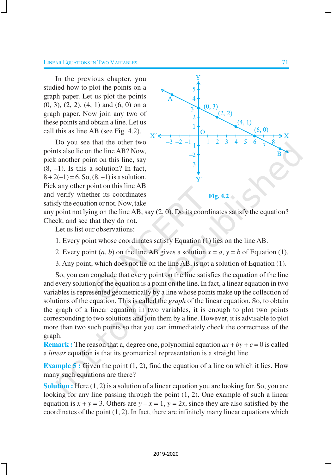#### **LINEAR EQUATIONS IN TWO VARIABLES** 71

In the previous chapter, you studied how to plot the points on a graph paper. Let us plot the points (0, 3), (2, 2), (4, 1) and (6, 0) on a graph paper. Now join any two of these points and obtain a line. Let us call this as line AB (see Fig. 4.2).

Do you see that the other two points also lie on the line AB? Now, pick another point on this line, say  $(8, -1)$ . Is this a solution? In fact,  $8 + 2(-1) = 6$ . So,  $(8, -1)$  is a solution. Pick any other point on this line AB and verify whether its coordinates satisfy the equation or not. Now, take



any point not lying on the line AB, say (2, 0). Do its coordinates satisfy the equation? Check, and see that they do not.

Let us list our observations:

- 1. Every point whose coordinates satisfy Equation (1) lies on the line AB.
- 2. Every point  $(a, b)$  on the line AB gives a solution  $x = a$ ,  $y = b$  of Equation (1).
- 3. Any point, which does not lie on the line AB, is not a solution of Equation (1).

So, you can conclude that every point on the line satisfies the equation of the line and every solution of the equation is a point on the line. In fact, a linear equation in two variables is represented geometrically by a line whose points make up the collection of solutions of the equation. This is called the *graph* of the linear equation. So, to obtain the graph of a linear equation in two variables, it is enough to plot two points corresponding to two solutions and join them by a line. However, it is advisable to plot more than two such points so that you can immediately check the correctness of the graph.

**Remark :** The reason that a, degree one, polynomial equation  $ax + by + c = 0$  is called a *linear* equation is that its geometrical representation is a straight line.

**Example 5 :** Given the point (1, 2), find the equation of a line on which it lies. How many such equations are there?

**Solution :** Here (1, 2) is a solution of a linear equation you are looking for. So, you are looking for any line passing through the point (1, 2). One example of such a linear equation is  $x + y = 3$ . Others are  $y - x = 1$ ,  $y = 2x$ , since they are also satisfied by the coordinates of the point  $(1, 2)$ . In fact, there are infinitely many linear equations which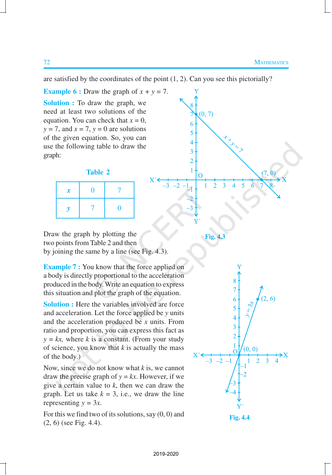are satisfied by the coordinates of the point (1, 2). Can you see this pictorially?

**Example 6 :** Draw the graph of  $x + y = 7$ . **Solution :** To draw the graph, we need at least two solutions of the equation. You can check that  $x = 0$ ,  $y = 7$ , and  $x = 7$ ,  $y = 0$  are solutions of the given equation. So, you can use the following table to draw the graph:

**Table 2**

| $\boldsymbol{x}$ | 0 |   |
|------------------|---|---|
|                  |   | 0 |



**Fig. 4.3**

Draw the graph by plotting the two points from Table 2 and then by joining the same by a line (see Fig. 4.3).

**Example 7 :** You know that the force applied on a body is directly proportional to the acceleration produced in the body. Write an equation to express this situation and plot the graph of the equation.

**Solution :** Here the variables involved are force and acceleration. Let the force applied be *y* units and the acceleration produced be *x* units. From ratio and proportion, you can express this fact as  $y = kx$ , where *k* is a constant. (From your study of science, you know that *k* is actually the mass of the body.)

Now, since we do not know what *k* is, we cannot draw the precise graph of  $y = kx$ . However, if we give a certain value to *k*, then we can draw the graph. Let us take  $k = 3$ , i.e., we draw the line representing  $y = 3x$ .

For this we find two of its solutions, say  $(0, 0)$  and (2, 6) (see Fig. 4.4).

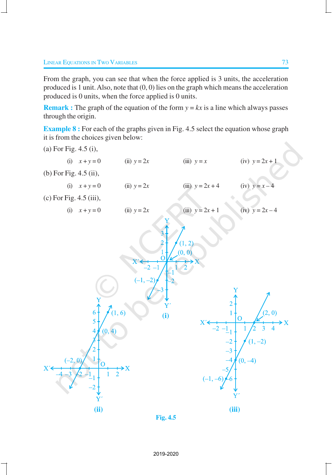From the graph, you can see that when the force applied is 3 units, the acceleration produced is 1 unit. Also, note that (0, 0) lies on the graph which means the acceleration produced is 0 units, when the force applied is 0 units.

**Remark :** The graph of the equation of the form  $y = kx$  is a line which always passes through the origin.

**Example 8 :** For each of the graphs given in Fig. 4.5 select the equation whose graph it is from the choices given below:



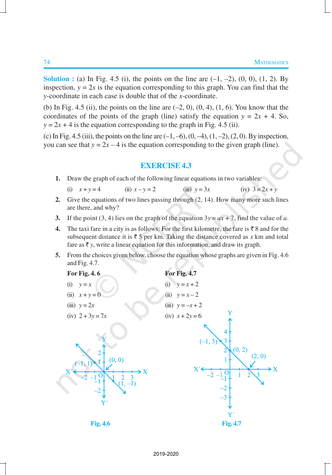**Solution :** (a) In Fig. 4.5 (i), the points on the line are  $(-1, -2)$ ,  $(0, 0)$ ,  $(1, 2)$ . By inspection,  $y = 2x$  is the equation corresponding to this graph. You can find that the *y*-coordinate in each case is double that of the *x*-coordinate.

(b) In Fig. 4.5 (ii), the points on the line are  $(-2, 0)$ ,  $(0, 4)$ ,  $(1, 6)$ . You know that the coordinates of the points of the graph (line) satisfy the equation  $y = 2x + 4$ . So,  $y = 2x + 4$  is the equation corresponding to the graph in Fig. 4.5 (ii).

(c) In Fig. 4.5 (iii), the points on the line are  $(-1, -6)$ ,  $(0, -4)$ ,  $(1, -2)$ ,  $(2, 0)$ . By inspection, you can see that  $y = 2x - 4$  is the equation corresponding to the given graph (line).

#### **EXERCISE 4.3**

- **1.** Draw the graph of each of the following linear equations in two variables:
	- (i)  $x + y = 4$  (ii)  $x y = 2$  (iii)  $y = 3x$  (iv)  $3 = 2x + y$
- **2.** Give the equations of two lines passing through (2, 14). How many more such lines are there, and why?
- **3.** If the point (3, 4) lies on the graph of the equation  $3y = ax + 7$ , find the value of *a*.
- **4.** The taxi fare in a city is as follows: For the first kilometre, the fare is  $\bar{\tau}$  8 and for the subsequent distance it is  $\bar{\tau}$  5 per km. Taking the distance covered as *x* km and total fare as  $\bar{\tau}$  *y*, write a linear equation for this information, and draw its graph.
- **5.** From the choices given below, choose the equation whose graphs are given in Fig. 4.6 and Fig. 4.7.

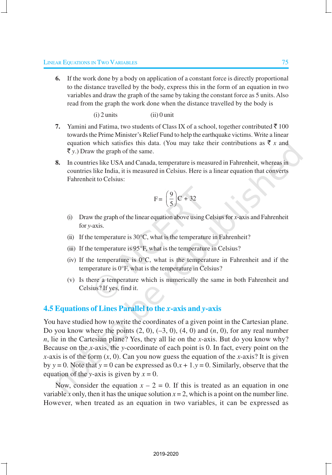**6.** If the work done by a body on application of a constant force is directly proportional to the distance travelled by the body, express this in the form of an equation in two variables and draw the graph of the same by taking the constant force as 5 units. Also read from the graph the work done when the distance travelled by the body is

 $(i)$  2 units  $(iii)$  0 unit

- **7.** Yamini and Fatima, two students of Class IX of a school, together contributed  $\bar{\tau}$  100 towards the Prime Minister's Relief Fund to help the earthquake victims. Write a linear equation which satisfies this data. (You may take their contributions as  $\bar{\tau}$  *x* and  $\bar{\tau}$  y.) Draw the graph of the same.
- **8.** In countries like USA and Canada, temperature is measured in Fahrenheit, whereas in countries like India, it is measured in Celsius. Here is a linear equation that converts Fahrenheit to Celsius:

$$
F = \left(\frac{9}{5}\right)C + 32
$$

- (i) Draw the graph of the linear equation above using Celsius for *x*-axis and Fahrenheit for *y*-axis.
- (ii) If the temperature is  $30^{\circ}$ C, what is the temperature in Fahrenheit?
- (iii) If the temperature is  $95^{\circ}$ F, what is the temperature in Celsius?
- (iv) If the temperature is  $0^{\circ}$ C, what is the temperature in Fahrenheit and if the temperature is 0°F, what is the temperature in Celsius?
- (v) Is there a temperature which is numerically the same in both Fahrenheit and Celsius? If yes, find it.

## **4.5 Equations of Lines Parallel to the** *x***-axis and** *y***-axis**

You have studied how to write the coordinates of a given point in the Cartesian plane. Do you know where the points (2, 0), (–3, 0), (4, 0) and (*n*, 0), for any real number *n*, lie in the Cartesian plane? Yes, they all lie on the *x*-axis. But do you know why? Because on the *x*-axis, the *y*-coordinate of each point is 0. In fact, every point on the *x*-axis is of the form (*x*, 0). Can you now guess the equation of the *x*-axis? It is given by  $y = 0$ . Note that  $y = 0$  can be expressed as  $0.x + 1.y = 0$ . Similarly, observe that the equation of the *y*-axis is given by  $x = 0$ .

Now, consider the equation  $x - 2 = 0$ . If this is treated as an equation in one variable *x* only, then it has the unique solution  $x = 2$ , which is a point on the number line. However, when treated as an equation in two variables, it can be expressed as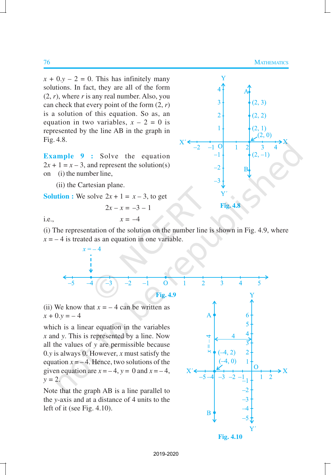$x + 0. y - 2 = 0$ . This has infinitely many solutions. In fact, they are all of the form  $(2, r)$ , where *r* is any real number. Also, you can check that every point of the form (2, *r*) is a solution of this equation. So as, an equation in two variables,  $x - 2 = 0$  is represented by the line AB in the graph in Fig. 4.8.

**Example 9 :** Solve the equation  $2x + 1 = x - 3$ , and represent the solution(s) on (i) the number line,

(ii) the Cartesian plane.

**Solution :** We solve  $2x + 1 = x - 3$ , to get

$$
2x - x = -3 - 1
$$



i.e.,  $x = -4$ 

(i) The representation of the solution on the number line is shown in Fig. 4.9, where  $x = -4$  is treated as an equation in one variable.



(ii) We know that  $x = -4$  can be written as  $x + 0. y = -4$ 

which is a linear equation in the variables *x* and *y*. This is represented by a line. Now all the values of *y* are permissible because 0.*y* is always 0. However, *x* must satisfy the equation  $x = -4$ . Hence, two solutions of the given equation are  $x = -4$ ,  $y = 0$  and  $x = -4$ ,  $y = 2$ .

Note that the graph AB is a line parallel to the *y*-axis and at a distance of 4 units to the left of it (see Fig. 4.10).